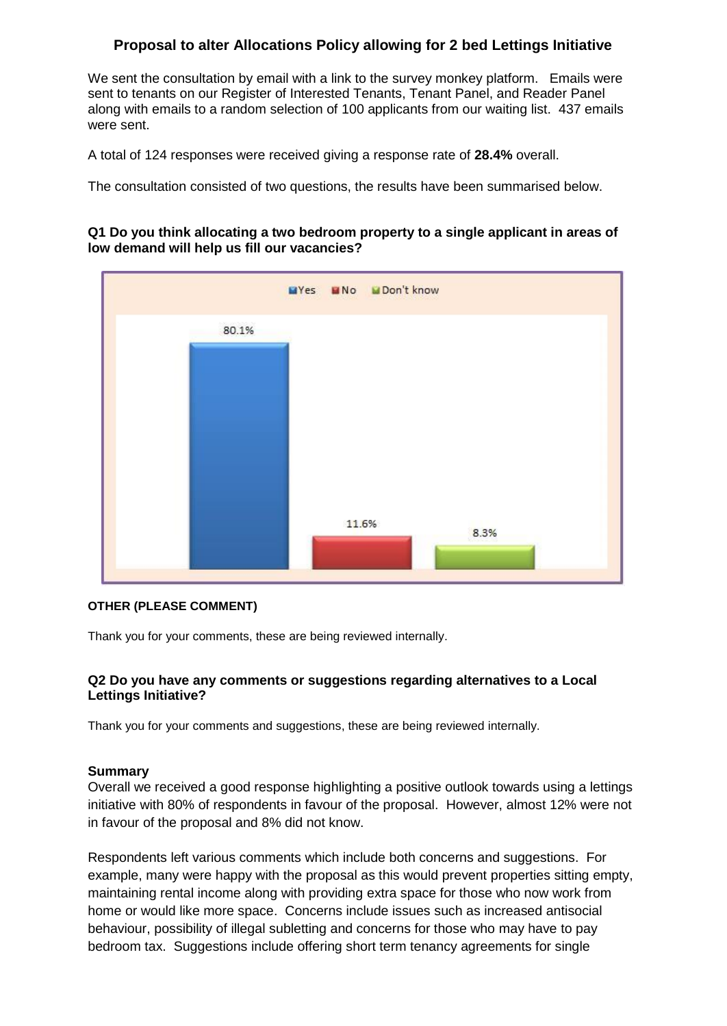# **Proposal to alter Allocations Policy allowing for 2 bed Lettings Initiative**

We sent the consultation by email with a link to the survey monkey platform. Emails were sent to tenants on our Register of Interested Tenants, Tenant Panel, and Reader Panel along with emails to a random selection of 100 applicants from our waiting list. 437 emails were sent.

A total of 124 responses were received giving a response rate of **28.4%** overall.

The consultation consisted of two questions, the results have been summarised below.

#### **Q1 Do you think allocating a two bedroom property to a single applicant in areas of low demand will help us fill our vacancies?**



#### **OTHER (PLEASE COMMENT)**

Thank you for your comments, these are being reviewed internally.

### **Q2 Do you have any comments or suggestions regarding alternatives to a Local Lettings Initiative?**

Thank you for your comments and suggestions, these are being reviewed internally.

### **Summary**

Overall we received a good response highlighting a positive outlook towards using a lettings initiative with 80% of respondents in favour of the proposal. However, almost 12% were not in favour of the proposal and 8% did not know.

Respondents left various comments which include both concerns and suggestions. For example, many were happy with the proposal as this would prevent properties sitting empty, maintaining rental income along with providing extra space for those who now work from home or would like more space. Concerns include issues such as increased antisocial behaviour, possibility of illegal subletting and concerns for those who may have to pay bedroom tax. Suggestions include offering short term tenancy agreements for single